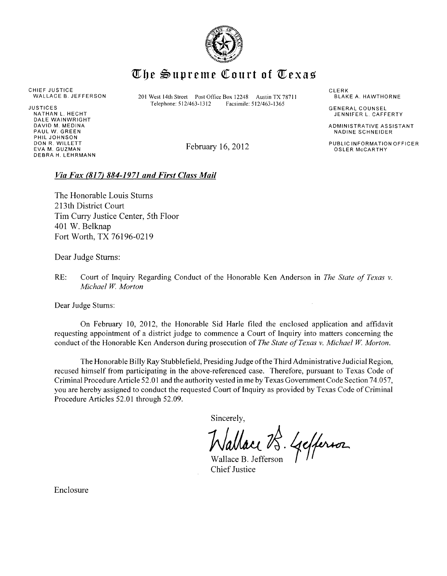

## $\mathbb{T}$ he Supreme Court of  $\mathbb{T}$ exas

CHIEF JUSTICE<br>WALLACE B. JEFFERSON

NATHAN L. HECHT DALE WAINWRIGHT DAVID M. MEDINA PAUL W. GREEN PHIL JOHNSON DON R. WILLETT EVA M. GUZMAN DEBRA H. LEHRMANN

201 West 14th Street Post Office Box 12248 Austin TX 78711<br>Telephone: 512/463-1312 Facsimile: 512/463-1365  $JUSTICFS$  Telephone:  $512/463-1312$ 

February 16, 2012

**CLERK** BLAKE A. HAWTHORNE

GENERAL COUNSEL JENNIFER L. CAFFERTY

ADMINISTRATIVE ASSISTANT NADINE SCHNEIDER

PUBLIC INFORMATION OFFICER OSLER McCARTHY

## *Via Fax (817) 884-1971 and First Class Mail*

The Honorable Louis Stums 213th District Court Tim Curry Justice Center, 5th Floor 401 W. Belknap Fort Worth, TX 76196-0219

Dear Judge Stums:

RE: Court of Inquiry Regarding Conduct of the Honorable Ken Anderson in *The State of Texas v. Michael W. Morton* 

Dear Judge Sturns:

On February 10, 2012, the Honorable Sid Harle filed the enclosed application and affidavit requesting appointment of a district judge to commence a Court of Inquiry into matters concerning the conduct of the Honorable Ken Anderson during prosecution of *The State of Texas v. Michael W Morton.* 

The Honorable Billy Ray Stubblefield, Presiding Judge of the Third Administrative Judicial Region, recused himself from participating in the above-referenced case. Therefore, pursuant to Texas Code of Criminal Procedure Article 52.01 and the authority vested in me by Texas Government Code Section 74.057, you are hereby assigned to conduct the requested Court of Inquiry as provided by Texas Code of Criminal Procedure Articles 52.01 through 52.09.

Sincerely,

Wallace B. Gefferson

Chief Justice

Enclosure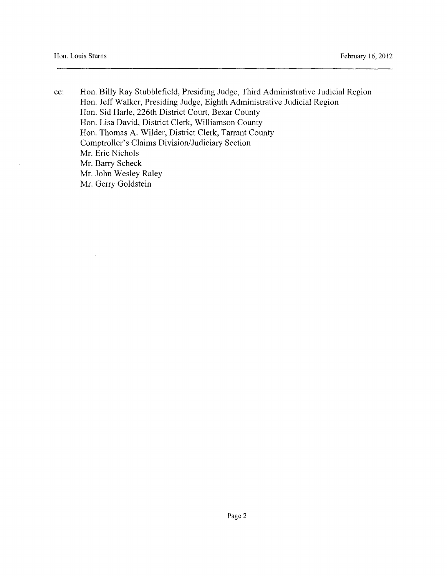$\bar{\gamma}$ 

 $\bar{\lambda}$ 

cc: Hon. Billy Ray Stubblefield, Presiding Judge, Third Administrative Judicial Region Hon. Jeff Walker, Presiding Judge, Eighth Administrative Judicial Region Hon. Sid Harle, 226th District Court, Bexar County Hon. Lisa David, District Clerk, Williamson County Hon. Thomas A. Wilder, District Clerk, Tarrant County Comptroller's Claims Division/Judiciary Section Mr. Eric Nichols Mr. Barry Scheck Mr. John Wesley Raley Mr. Gerry Goldstein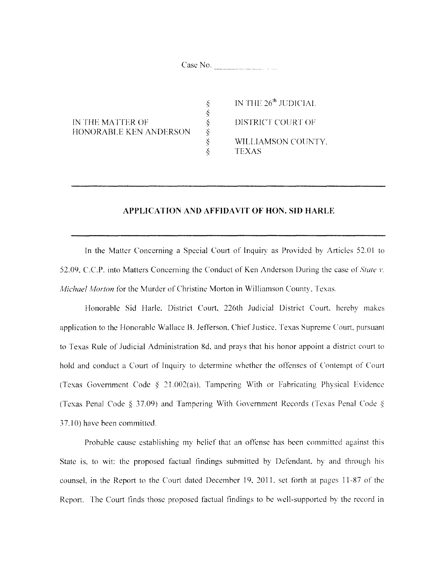Case No.

ときききき

IN THE MATTER OF HONORABLE KEN ANDERSON IN THE 26<sup>th</sup> JUDICIAL DISTRICT COURT OF WILLIAMSON COUNTY. TEXAS

## **APPLICATION AND AFFIDAVIT OF HON. SID HARLE**

In the Matter Conccming a Special Court of Inquiry as Provided by Articles 52.01 to 52.09. C.C.P. into Matters Concerning the Conduct of Ken Anderson During the case of *Stale* 1'. *Michael Morton* for the Murder of Christine Morton in Williamson County, Texas.

Honorable Sid Harle. District Court, 226th Judicial District Court. hereby makes application to the Honorable Wallace B. Jefferson, Chief Justice. Texas Supreme Court, pursuant to Texas Rule of Judicial Administration 8d, and prays that his honor appoint a district court to hold and conduct a Court of Inquiry to determine whether the offenses of Contempt of Court (Texas Government Code  $\S$  21.002(a)). Tampering With or Fabricating Physical Evidence (Texas Penal Code  $\S 37.09$ ) and Tampering With Government Records (Texas Penal Code  $\S$ ) 37.10) have been committed.

Probable cause establishing my belief that an offense has been committed against this State is. to wit: the proposed factual findings submitted by Defendant. by and through his counsel, in the Report to the Court dated December 19, 2011. set forth at pages 11-87 of the Report. The Court finds those proposed factual findings to he well-supported by the record in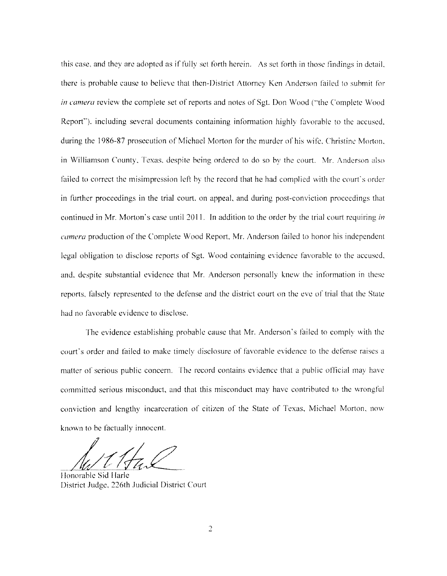this case, and they are adopted as if fully set forth herein. As set forth in those findings in detail, there is probable cause to believe that then-District Attorney Ken Anderson failed to submit for *in camera* review the complete set of reports and notes of Sgt. Don Wood ("the Complete Wood Report"). including several documents containing information highly favorable to the accused. during the 1986-87 prosecution of Michael Morton for the murder of his wife. Christine Morton. in Williamson County. Texas. despite being ordered to do so by the court. Mr. Anderson also failed to correct the misimpression left by the record that he had complied with the court's order in further proceedings in the trial court. on appeal. and during post-conviction proceedings that continued in Mr. Morton's case until 20 II. In addition to the order by the trial court requiring *in camera* production of the Complete \Vood Report, Mr. Anderson failed to honor his independent legal obligation to disclose reports of Sgt. Wood containing evidence favorable to the accused. and. despite substantial evidence that Mr. Anderson personally knew the information in these reports. falsely represented to the defense and the district court on the eve of trial that the State had no favorable evidence to disclose.

The evidence establishing probable cause that Mr. Anderson's failed to comply with the court's order and failed to make timely disclosure of favorable evidence to the defense raises a matter of serious public concern. The record contains evidence that a public official may have committed serious misconduct, and that this misconduct may have contributed to the wrongful conviction and lengthy incarceration of citizen of the State of Texas, Michael Morton. now known to be factually innocent.

Honorable Sid Harle District Judge. 226th Judicial District Court